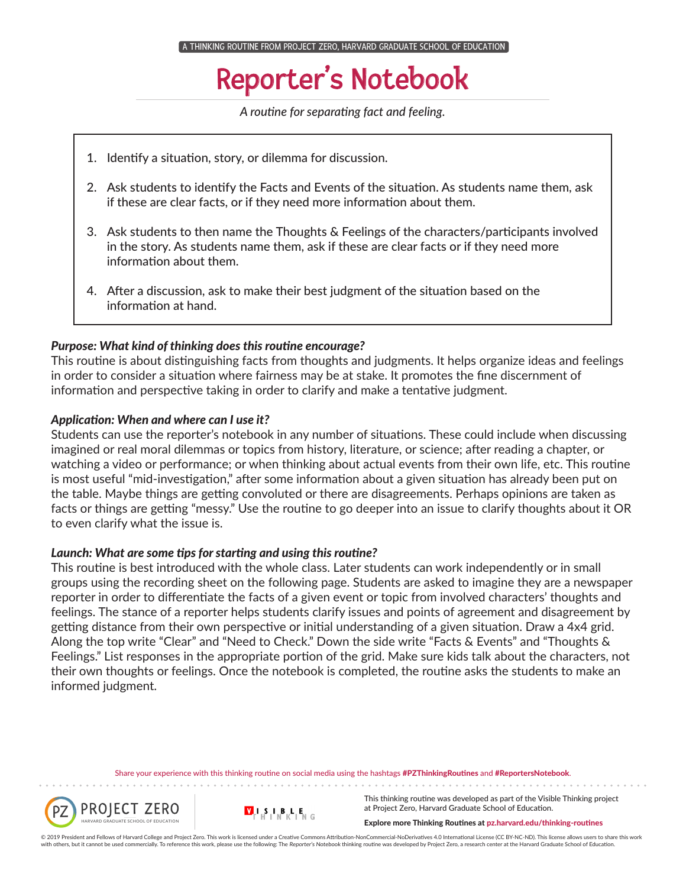## Reporter's Notebook

*A routine for separating fact and feeling.*

- 1. Identify a situation, story, or dilemma for discussion.
- 2. Ask students to identify the Facts and Events of the situation. As students name them, ask if these are clear facts, or if they need more information about them.
- 3. Ask students to then name the Thoughts & Feelings of the characters/participants involved in the story. As students name them, ask if these are clear facts or if they need more information about them.
- 4. After a discussion, ask to make their best judgment of the situation based on the information at hand.

#### *Purpose: What kind of thinking does this routine encourage?*

This routine is about distinguishing facts from thoughts and judgments. It helps organize ideas and feelings in order to consider a situation where fairness may be at stake. It promotes the fine discernment of information and perspective taking in order to clarify and make a tentative judgment.

#### *Application: When and where can I use it?*

Students can use the reporter's notebook in any number of situations. These could include when discussing imagined or real moral dilemmas or topics from history, literature, or science; after reading a chapter, or watching a video or performance; or when thinking about actual events from their own life, etc. This routine is most useful "mid-investigation," after some information about a given situation has already been put on the table. Maybe things are getting convoluted or there are disagreements. Perhaps opinions are taken as facts or things are getting "messy." Use the routine to go deeper into an issue to clarify thoughts about it OR to even clarify what the issue is.

#### *Launch: What are some tips for starting and using this routine?*

This routine is best introduced with the whole class. Later students can work independently or in small groups using the recording sheet on the following page. Students are asked to imagine they are a newspaper reporter in order to differentiate the facts of a given event or topic from involved characters' thoughts and feelings. The stance of a reporter helps students clarify issues and points of agreement and disagreement by getting distance from their own perspective or initial understanding of a given situation. Draw a 4x4 grid. Along the top write "Clear" and "Need to Check." Down the side write "Facts & Events" and "Thoughts & Feelings." List responses in the appropriate portion of the grid. Make sure kids talk about the characters, not their own thoughts or feelings. Once the notebook is completed, the routine asks the students to make an informed judgment.

Share your experience with this thinking routine on social media using the hashtags #PZThinkingRoutines and #ReportersNotebook.





This thinking routine was developed as part of the Visible Thinking project at Project Zero, Harvard Graduate School of Education.

Explore more Thinking Routines at pz.harvard.edu/thinking-routines

© 2019 President and Fellows of Harvard College and Project Zero. This work is licensed under a Creative Commons Attribution-NonCommercial-NoDerivatives 4.0 International License (CC BY-NC-ND). This license allows users to with others, but it cannot be used commercially. To reference this work, please use the following: The Reporter's Notebook thinking routine was developed by Project Zero, a research center at the Harvard Graduate School of